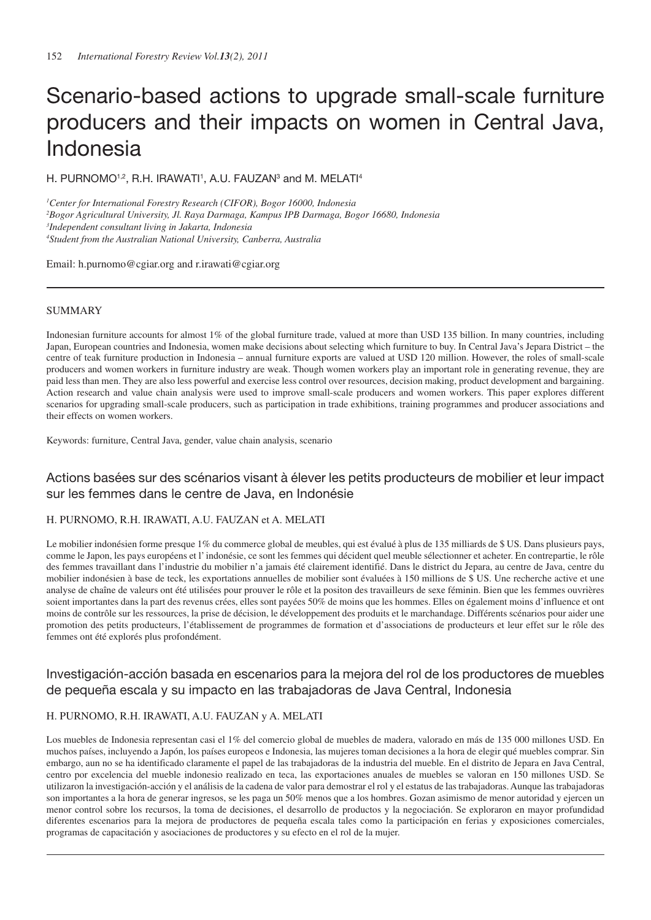# Scenario-based actions to upgrade small-scale furniture producers and their impacts on women in Central Java, Indonesia

H. PURNOMO<sup>1,2</sup>, R.H. IRAWATI<sup>1</sup>, A.U. FAUZAN<sup>3</sup> and M. MELATI<sup>4</sup>

 *Center for International Forestry Research (CIFOR), Bogor 16000, Indonesia Bogor Agricultural University, Jl. Raya Darmaga, Kampus IPB Darmaga, Bogor 16680, Indonesia Independent consultant living in Jakarta, Indonesia Student from the Australian National University, Canberra, Australia*

Email: h.purnomo@cgiar.org and r.irawati@cgiar.org

# **SUMMARY**

Indonesian furniture accounts for almost 1% of the global furniture trade, valued at more than USD 135 billion. In many countries, including Japan, European countries and Indonesia, women make decisions about selecting which furniture to buy. In Central Java's Jepara District – the centre of teak furniture production in Indonesia – annual furniture exports are valued at USD 120 million. However, the roles of small-scale producers and women workers in furniture industry are weak. Though women workers play an important role in generating revenue, they are paid less than men. They are also less powerful and exercise less control over resources, decision making, product development and bargaining. Action research and value chain analysis were used to improve small-scale producers and women workers. This paper explores different scenarios for upgrading small-scale producers, such as participation in trade exhibitions, training programmes and producer associations and their effects on women workers.

Keywords: furniture, Central Java, gender, value chain analysis, scenario

# Actions basées sur des scénarios visant à élever les petits producteurs de mobilier et leur impact sur les femmes dans le centre de Java, en Indonésie

# H. PURNOMO, R.H. IRAWATI, A.U. FAUZAN et A. MELATI

Le mobilier indonésien forme presque 1% du commerce global de meubles, qui est évalué à plus de 135 milliards de \$ US. Dans plusieurs pays, comme le Japon, les pays européens et l' indonésie, ce sont les femmes qui décident quel meuble sélectionner et acheter. En contrepartie, le rôle des femmes travaillant dans l'industrie du mobilier n'a jamais été clairement identifié. Dans le district du Jepara, au centre de Java, centre du mobilier indonésien à base de teck, les exportations annuelles de mobilier sont évaluées à 150 millions de \$ US. Une recherche active et une analyse de chaîne de valeurs ont été utilisées pour prouver le rôle et la positon des travailleurs de sexe féminin. Bien que les femmes ouvrières soient importantes dans la part des revenus crées, elles sont payées 50% de moins que les hommes. Elles on également moins d'influence et ont moins de contrôle sur les ressources, la prise de décision, le développement des produits et le marchandage. Différents scénarios pour aider une promotion des petits producteurs, l'établissement de programmes de formation et d'associations de producteurs et leur effet sur le rôle des femmes ont été explorés plus profondément.

# Investigación-acción basada en escenarios para la mejora del rol de los productores de muebles de pequeña escala y su impacto en las trabajadoras de Java Central, Indonesia

# H. PURNOMO, R.H. IRAWATI, A.U. FAUZAN y A. MELATI

Los muebles de Indonesia representan casi el 1% del comercio global de muebles de madera, valorado en más de 135 000 millones USD. En muchos países, incluyendo a Japón, los países europeos e Indonesia, las mujeres toman decisiones a la hora de elegir qué muebles comprar. Sin embargo, aun no se ha identificado claramente el papel de las trabajadoras de la industria del mueble. En el distrito de Jepara en Java Central, centro por excelencia del mueble indonesio realizado en teca, las exportaciones anuales de muebles se valoran en 150 millones USD. Se utilizaron la investigación-acción y el análisis de la cadena de valor para demostrar el rol y el estatus de las trabajadoras. Aunque las trabajadoras son importantes a la hora de generar ingresos, se les paga un 50% menos que a los hombres. Gozan asimismo de menor autoridad y ejercen un menor control sobre los recursos, la toma de decisiones, el desarrollo de productos y la negociación. Se exploraron en mayor profundidad diferentes escenarios para la mejora de productores de pequeña escala tales como la participación en ferias y exposiciones comerciales, programas de capacitación y asociaciones de productores y su efecto en el rol de la mujer.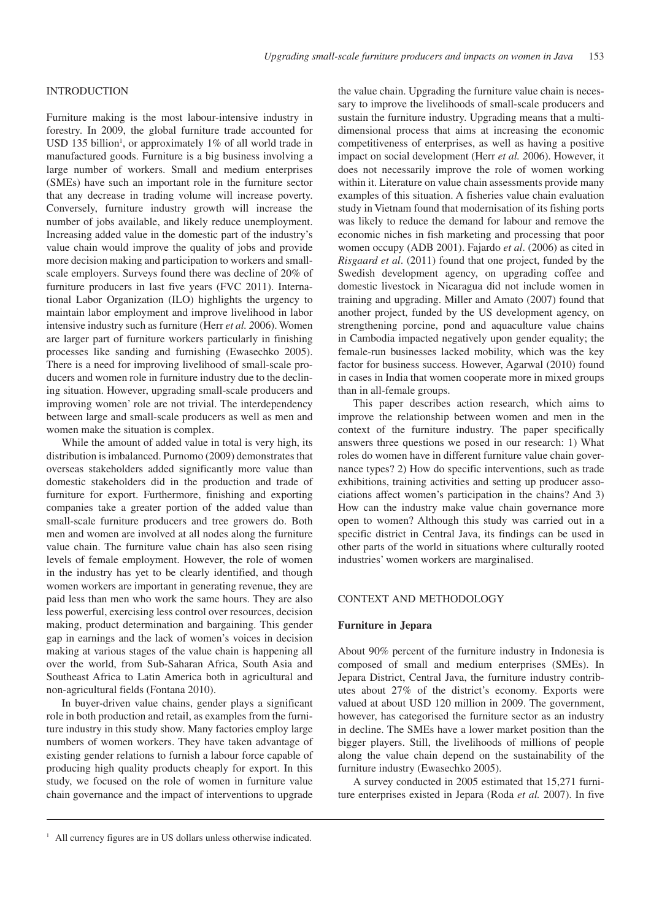#### INTRODUCTION

Furniture making is the most labour-intensive industry in forestry. In 2009, the global furniture trade accounted for USD 135 billion<sup>1</sup>, or approximately  $1\%$  of all world trade in manufactured goods. Furniture is a big business involving a large number of workers. Small and medium enterprises (SMEs) have such an important role in the furniture sector that any decrease in trading volume will increase poverty. Conversely, furniture industry growth will increase the number of jobs available, and likely reduce unemployment. Increasing added value in the domestic part of the industry's value chain would improve the quality of jobs and provide more decision making and participation to workers and smallscale employers. Surveys found there was decline of 20% of furniture producers in last five years (FVC 2011). International Labor Organization (ILO) highlights the urgency to maintain labor employment and improve livelihood in labor intensive industry such as furniture (Herr *et al. 2*006). Women are larger part of furniture workers particularly in finishing processes like sanding and furnishing (Ewasechko 2005). There is a need for improving livelihood of small-scale producers and women role in furniture industry due to the declining situation. However, upgrading small-scale producers and improving women' role are not trivial. The interdependency between large and small-scale producers as well as men and women make the situation is complex.

While the amount of added value in total is very high, its distribution is imbalanced. Purnomo (2009) demonstrates that overseas stakeholders added significantly more value than domestic stakeholders did in the production and trade of furniture for export. Furthermore, finishing and exporting companies take a greater portion of the added value than small-scale furniture producers and tree growers do. Both men and women are involved at all nodes along the furniture value chain. The furniture value chain has also seen rising levels of female employment. However, the role of women in the industry has yet to be clearly identified, and though women workers are important in generating revenue, they are paid less than men who work the same hours. They are also less powerful, exercising less control over resources, decision making, product determination and bargaining. This gender gap in earnings and the lack of women's voices in decision making at various stages of the value chain is happening all over the world, from Sub-Saharan Africa, South Asia and Southeast Africa to Latin America both in agricultural and non-agricultural fields (Fontana 2010).

In buyer-driven value chains, gender plays a significant role in both production and retail, as examples from the furniture industry in this study show. Many factories employ large numbers of women workers. They have taken advantage of existing gender relations to furnish a labour force capable of producing high quality products cheaply for export. In this study, we focused on the role of women in furniture value chain governance and the impact of interventions to upgrade

the value chain. Upgrading the furniture value chain is necessary to improve the livelihoods of small-scale producers and sustain the furniture industry. Upgrading means that a multidimensional process that aims at increasing the economic competitiveness of enterprises, as well as having a positive impact on social development (Herr *et al. 2*006). However, it does not necessarily improve the role of women working within it. Literature on value chain assessments provide many examples of this situation. A fisheries value chain evaluation study in Vietnam found that modernisation of its fishing ports was likely to reduce the demand for labour and remove the economic niches in fish marketing and processing that poor women occupy (ADB 2001). Fajardo *et al*. (2006) as cited in *Risgaard et al*. (2011) found that one project, funded by the Swedish development agency, on upgrading coffee and domestic livestock in Nicaragua did not include women in training and upgrading. Miller and Amato (2007) found that another project, funded by the US development agency, on strengthening porcine, pond and aquaculture value chains in Cambodia impacted negatively upon gender equality; the female-run businesses lacked mobility, which was the key factor for business success. However, Agarwal (2010) found in cases in India that women cooperate more in mixed groups than in all-female groups.

This paper describes action research, which aims to improve the relationship between women and men in the context of the furniture industry. The paper specifically answers three questions we posed in our research: 1) What roles do women have in different furniture value chain governance types? 2) How do specific interventions, such as trade exhibitions, training activities and setting up producer associations affect women's participation in the chains? And 3) How can the industry make value chain governance more open to women? Although this study was carried out in a specific district in Central Java, its findings can be used in other parts of the world in situations where culturally rooted industries' women workers are marginalised.

### CONTEXT AND METHODOLOGY

#### **Furniture in Jepara**

About 90% percent of the furniture industry in Indonesia is composed of small and medium enterprises (SMEs). In Jepara District, Central Java, the furniture industry contributes about 27% of the district's economy. Exports were valued at about USD 120 million in 2009. The government, however, has categorised the furniture sector as an industry in decline. The SMEs have a lower market position than the bigger players. Still, the livelihoods of millions of people along the value chain depend on the sustainability of the furniture industry (Ewasechko 2005).

A survey conducted in 2005 estimated that 15,271 furniture enterprises existed in Jepara (Roda *et al.* 2007). In five

<sup>&</sup>lt;sup>1</sup> All currency figures are in US dollars unless otherwise indicated.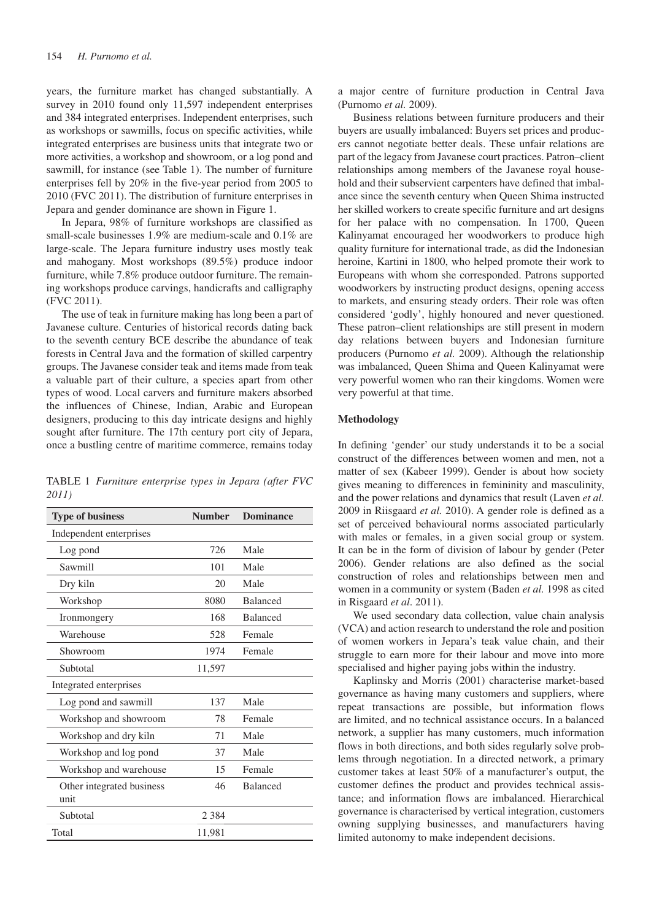years, the furniture market has changed substantially. A survey in 2010 found only 11,597 independent enterprises and 384 integrated enterprises. Independent enterprises, such as workshops or sawmills, focus on specific activities, while integrated enterprises are business units that integrate two or more activities, a workshop and showroom, or a log pond and sawmill, for instance (see Table 1). The number of furniture enterprises fell by 20% in the five-year period from 2005 to 2010 (FVC 2011). The distribution of furniture enterprises in Jepara and gender dominance are shown in Figure 1.

In Jepara, 98% of furniture workshops are classified as small-scale businesses 1.9% are medium-scale and 0.1% are large-scale. The Jepara furniture industry uses mostly teak and mahogany. Most workshops (89.5%) produce indoor furniture, while 7.8% produce outdoor furniture. The remaining workshops produce carvings, handicrafts and calligraphy (FVC 2011).

The use of teak in furniture making has long been a part of Javanese culture. Centuries of historical records dating back to the seventh century BCE describe the abundance of teak forests in Central Java and the formation of skilled carpentry groups. The Javanese consider teak and items made from teak a valuable part of their culture, a species apart from other types of wood. Local carvers and furniture makers absorbed the influences of Chinese, Indian, Arabic and European designers, producing to this day intricate designs and highly sought after furniture. The 17th century port city of Jepara, once a bustling centre of maritime commerce, remains today

TABLE 1 *Furniture enterprise types in Jepara (after FVC 2011)*

| <b>Type of business</b>   | <b>Number</b> | <b>Dominance</b> |
|---------------------------|---------------|------------------|
| Independent enterprises   |               |                  |
| Log pond                  | 726           | Male             |
| Sawmill                   | 101           | Male             |
| Dry kiln                  | 20            | Male             |
| Workshop                  | 8080          | <b>Balanced</b>  |
| Ironmongery               | 168           | <b>Balanced</b>  |
| Warehouse                 | 528           | Female           |
| Showroom                  | 1974          | Female           |
| Subtotal                  | 11,597        |                  |
| Integrated enterprises    |               |                  |
| Log pond and sawmill      | 137           | Male             |
| Workshop and showroom     | 78            | Female           |
| Workshop and dry kiln     | 71            | Male             |
| Workshop and log pond     | 37            | Male             |
| Workshop and warehouse    | 15            | Female           |
| Other integrated business | 46            | <b>Balanced</b>  |
| unit                      |               |                  |
| Subtotal                  | 2 3 8 4       |                  |
| Total                     | 11,981        |                  |

a major centre of furniture production in Central Java (Purnomo *et al.* 2009).

Business relations between furniture producers and their buyers are usually imbalanced: Buyers set prices and producers cannot negotiate better deals. These unfair relations are part of the legacy from Javanese court practices. Patron–client relationships among members of the Javanese royal household and their subservient carpenters have defined that imbalance since the seventh century when Queen Shima instructed her skilled workers to create specific furniture and art designs for her palace with no compensation. In 1700, Queen Kalinyamat encouraged her woodworkers to produce high quality furniture for international trade, as did the Indonesian heroine, Kartini in 1800, who helped promote their work to Europeans with whom she corresponded. Patrons supported woodworkers by instructing product designs, opening access to markets, and ensuring steady orders. Their role was often considered 'godly', highly honoured and never questioned. These patron–client relationships are still present in modern day relations between buyers and Indonesian furniture producers (Purnomo *et al.* 2009). Although the relationship was imbalanced, Queen Shima and Queen Kalinyamat were very powerful women who ran their kingdoms. Women were very powerful at that time.

#### **Methodology**

In defining 'gender' our study understands it to be a social construct of the differences between women and men, not a matter of sex (Kabeer 1999). Gender is about how society gives meaning to differences in femininity and masculinity, and the power relations and dynamics that result (Laven *et al.*  2009 in Riisgaard *et al.* 2010). A gender role is defined as a set of perceived behavioural norms associated particularly with males or females, in a given social group or system. It can be in the form of division of labour by gender (Peter 2006). Gender relations are also defined as the social construction of roles and relationships between men and women in a community or system (Baden *et al.* 1998 as cited in Risgaard *et al*. 2011).

We used secondary data collection, value chain analysis (VCA) and action research to understand the role and position of women workers in Jepara's teak value chain, and their struggle to earn more for their labour and move into more specialised and higher paying jobs within the industry.

Kaplinsky and Morris (2001) characterise market-based governance as having many customers and suppliers, where repeat transactions are possible, but information flows are limited, and no technical assistance occurs. In a balanced network, a supplier has many customers, much information flows in both directions, and both sides regularly solve problems through negotiation. In a directed network, a primary customer takes at least 50% of a manufacturer's output, the customer defines the product and provides technical assistance; and information flows are imbalanced. Hierarchical governance is characterised by vertical integration, customers owning supplying businesses, and manufacturers having limited autonomy to make independent decisions.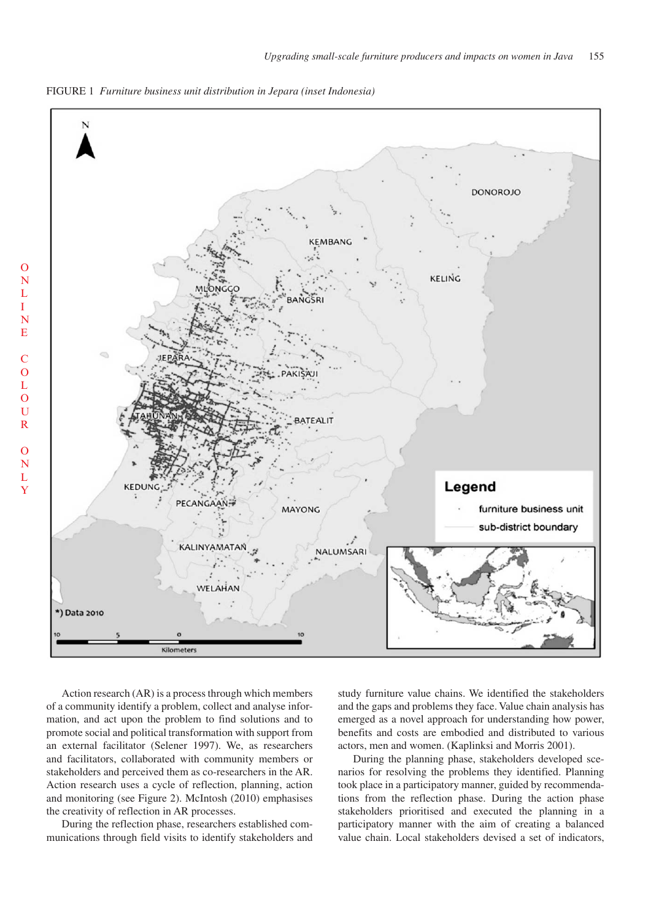



Action research (AR) is a process through which members of a community identify a problem, collect and analyse information, and act upon the problem to find solutions and to promote social and political transformation with support from an external facilitator (Selener 1997). We, as researchers and facilitators, collaborated with community members or stakeholders and perceived them as co-researchers in the AR. Action research uses a cycle of reflection, planning, action and monitoring (see Figure 2). McIntosh (2010) emphasises the creativity of reflection in AR processes.

During the reflection phase, researchers established communications through field visits to identify stakeholders and study furniture value chains. We identified the stakeholders and the gaps and problems they face. Value chain analysis has emerged as a novel approach for understanding how power, benefits and costs are embodied and distributed to various actors, men and women. (Kaplinksi and Morris 2001).

During the planning phase, stakeholders developed scenarios for resolving the problems they identified. Planning took place in a participatory manner, guided by recommendations from the reflection phase. During the action phase stakeholders prioritised and executed the planning in a participatory manner with the aim of creating a balanced value chain. Local stakeholders devised a set of indicators,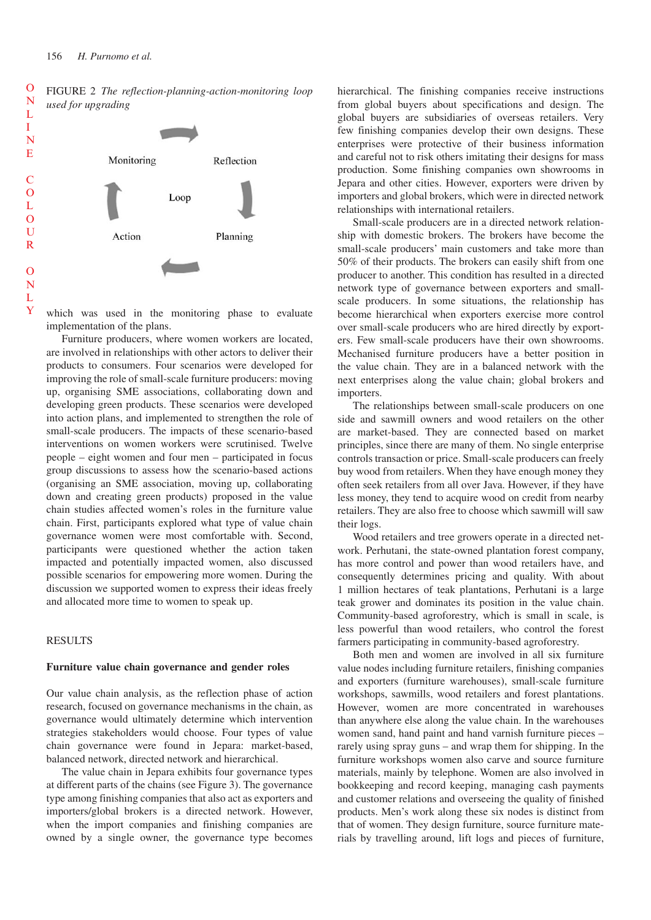FIGURE 2 *The reflection-planning-action-monitoring loop used for upgrading*



Y

O N

I

which was used in the monitoring phase to evaluate implementation of the plans.

Furniture producers, where women workers are located, are involved in relationships with other actors to deliver their products to consumers. Four scenarios were developed for improving the role of small-scale furniture producers: moving up, organising SME associations, collaborating down and developing green products. These scenarios were developed into action plans, and implemented to strengthen the role of small-scale producers. The impacts of these scenario-based interventions on women workers were scrutinised. Twelve people – eight women and four men – participated in focus group discussions to assess how the scenario-based actions (organising an SME association, moving up, collaborating down and creating green products) proposed in the value chain studies affected women's roles in the furniture value chain. First, participants explored what type of value chain governance women were most comfortable with. Second, participants were questioned whether the action taken impacted and potentially impacted women, also discussed possible scenarios for empowering more women. During the discussion we supported women to express their ideas freely and allocated more time to women to speak up.

# RESULTS

#### **Furniture value chain governance and gender roles**

Our value chain analysis, as the reflection phase of action research, focused on governance mechanisms in the chain, as governance would ultimately determine which intervention strategies stakeholders would choose. Four types of value chain governance were found in Jepara: market-based, balanced network, directed network and hierarchical.

The value chain in Jepara exhibits four governance types at different parts of the chains (see Figure 3). The governance type among finishing companies that also act as exporters and importers/global brokers is a directed network. However, when the import companies and finishing companies are owned by a single owner, the governance type becomes hierarchical. The finishing companies receive instructions from global buyers about specifications and design. The global buyers are subsidiaries of overseas retailers. Very few finishing companies develop their own designs. These enterprises were protective of their business information and careful not to risk others imitating their designs for mass production. Some finishing companies own showrooms in Jepara and other cities. However, exporters were driven by importers and global brokers, which were in directed network relationships with international retailers.

Small-scale producers are in a directed network relationship with domestic brokers. The brokers have become the small-scale producers' main customers and take more than 50% of their products. The brokers can easily shift from one producer to another. This condition has resulted in a directed network type of governance between exporters and smallscale producers. In some situations, the relationship has become hierarchical when exporters exercise more control over small-scale producers who are hired directly by exporters. Few small-scale producers have their own showrooms. Mechanised furniture producers have a better position in the value chain. They are in a balanced network with the next enterprises along the value chain; global brokers and importers.

The relationships between small-scale producers on one side and sawmill owners and wood retailers on the other are market-based. They are connected based on market principles, since there are many of them. No single enterprise controls transaction or price. Small-scale producers can freely buy wood from retailers. When they have enough money they often seek retailers from all over Java. However, if they have less money, they tend to acquire wood on credit from nearby retailers. They are also free to choose which sawmill will saw their logs.

Wood retailers and tree growers operate in a directed network. Perhutani, the state-owned plantation forest company, has more control and power than wood retailers have, and consequently determines pricing and quality. With about 1 million hectares of teak plantations, Perhutani is a large teak grower and dominates its position in the value chain. Community-based agroforestry, which is small in scale, is less powerful than wood retailers, who control the forest farmers participating in community-based agroforestry.

Both men and women are involved in all six furniture value nodes including furniture retailers, finishing companies and exporters (furniture warehouses), small-scale furniture workshops, sawmills, wood retailers and forest plantations. However, women are more concentrated in warehouses than anywhere else along the value chain. In the warehouses women sand, hand paint and hand varnish furniture pieces – rarely using spray guns – and wrap them for shipping. In the furniture workshops women also carve and source furniture materials, mainly by telephone. Women are also involved in bookkeeping and record keeping, managing cash payments and customer relations and overseeing the quality of finished products. Men's work along these six nodes is distinct from that of women. They design furniture, source furniture materials by travelling around, lift logs and pieces of furniture,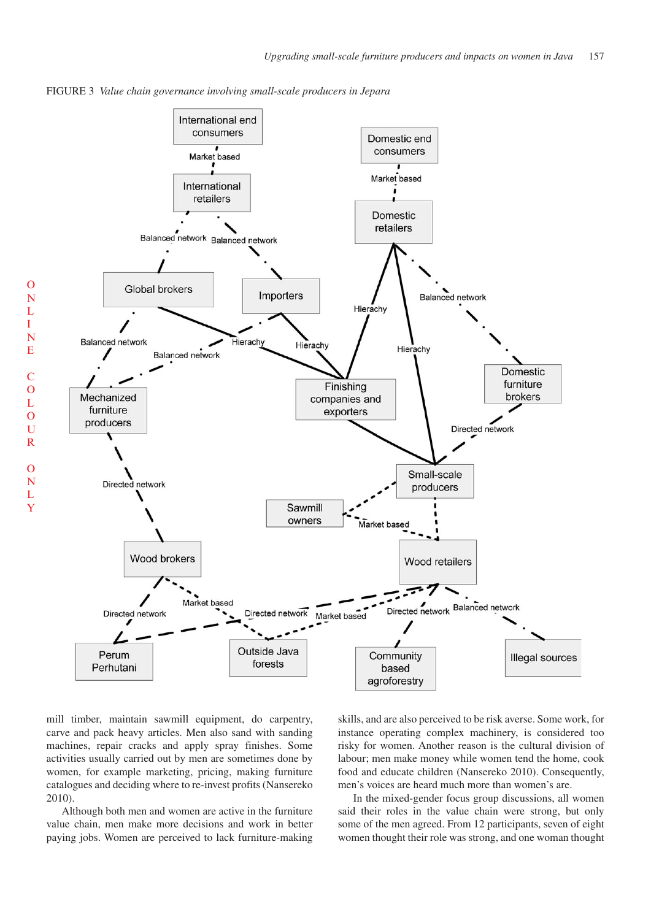



mill timber, maintain sawmill equipment, do carpentry, carve and pack heavy articles. Men also sand with sanding machines, repair cracks and apply spray finishes. Some activities usually carried out by men are sometimes done by women, for example marketing, pricing, making furniture catalogues and deciding where to re-invest profits (Nansereko 2010).

Although both men and women are active in the furniture value chain, men make more decisions and work in better paying jobs. Women are perceived to lack furniture-making skills, and are also perceived to be risk averse. Some work, for instance operating complex machinery, is considered too risky for women. Another reason is the cultural division of labour; men make money while women tend the home, cook food and educate children (Nansereko 2010). Consequently, men's voices are heard much more than women's are.

In the mixed-gender focus group discussions, all women said their roles in the value chain were strong, but only some of the men agreed. From 12 participants, seven of eight women thought their role was strong, and one woman thought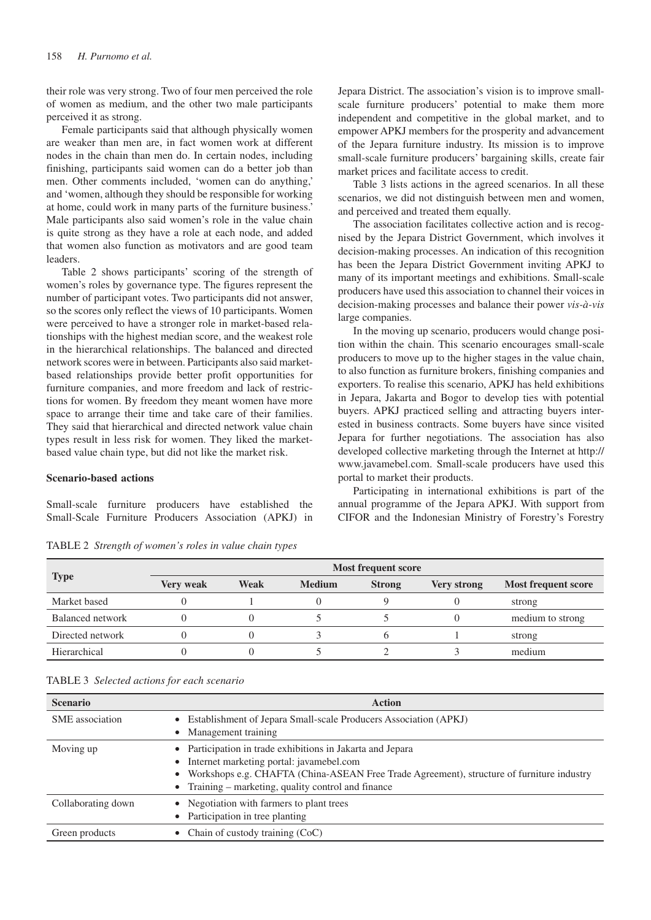their role was very strong. Two of four men perceived the role of women as medium, and the other two male participants perceived it as strong.

Female participants said that although physically women are weaker than men are, in fact women work at different nodes in the chain than men do. In certain nodes, including finishing, participants said women can do a better job than men. Other comments included, 'women can do anything,' and 'women, although they should be responsible for working at home, could work in many parts of the furniture business.' Male participants also said women's role in the value chain is quite strong as they have a role at each node, and added that women also function as motivators and are good team leaders.

Table 2 shows participants' scoring of the strength of women's roles by governance type. The figures represent the number of participant votes. Two participants did not answer, so the scores only reflect the views of 10 participants. Women were perceived to have a stronger role in market-based relationships with the highest median score, and the weakest role in the hierarchical relationships. The balanced and directed network scores were in between. Participants also said marketbased relationships provide better profit opportunities for furniture companies, and more freedom and lack of restrictions for women. By freedom they meant women have more space to arrange their time and take care of their families. They said that hierarchical and directed network value chain types result in less risk for women. They liked the marketbased value chain type, but did not like the market risk.

#### **Scenario-based actions**

Small-scale furniture producers have established the Small-Scale Furniture Producers Association (APKJ) in

TABLE 2 *Strength of women's roles in value chain types*

Jepara District. The association's vision is to improve smallscale furniture producers' potential to make them more independent and competitive in the global market, and to empower APKJ members for the prosperity and advancement of the Jepara furniture industry. Its mission is to improve small-scale furniture producers' bargaining skills, create fair market prices and facilitate access to credit.

Table 3 lists actions in the agreed scenarios. In all these scenarios, we did not distinguish between men and women, and perceived and treated them equally.

The association facilitates collective action and is recognised by the Jepara District Government, which involves it decision-making processes. An indication of this recognition has been the Jepara District Government inviting APKJ to many of its important meetings and exhibitions. Small-scale producers have used this association to channel their voices in decision-making processes and balance their power *vis-à-vis* large companies.

In the moving up scenario, producers would change position within the chain. This scenario encourages small-scale producers to move up to the higher stages in the value chain, to also function as furniture brokers, finishing companies and exporters. To realise this scenario, APKJ has held exhibitions in Jepara, Jakarta and Bogor to develop ties with potential buyers. APKJ practiced selling and attracting buyers interested in business contracts. Some buyers have since visited Jepara for further negotiations. The association has also developed collective marketing through the Internet at http:// www.javamebel.com. Small-scale producers have used this portal to market their products.

Participating in international exhibitions is part of the annual programme of the Jepara APKJ. With support from CIFOR and the Indonesian Ministry of Forestry's Forestry

| <b>Type</b>      | <b>Most frequent score</b> |      |               |               |                    |                            |  |
|------------------|----------------------------|------|---------------|---------------|--------------------|----------------------------|--|
|                  | <b>Very weak</b>           | Weak | <b>Medium</b> | <b>Strong</b> | <b>Very strong</b> | <b>Most frequent score</b> |  |
| Market based     |                            |      |               |               |                    | strong                     |  |
| Balanced network |                            |      |               |               |                    | medium to strong           |  |
| Directed network |                            |      |               |               |                    | strong                     |  |
| Hierarchical     |                            |      |               |               |                    | medium                     |  |

| TABLE 3 Selected actions for each scenario |  |  |  |  |  |
|--------------------------------------------|--|--|--|--|--|
|--------------------------------------------|--|--|--|--|--|

| <b>Scenario</b>        | <b>Action</b>                                                                                                                                                                                                                                                  |
|------------------------|----------------------------------------------------------------------------------------------------------------------------------------------------------------------------------------------------------------------------------------------------------------|
| <b>SME</b> association | • Establishment of Jepara Small-scale Producers Association (APKJ)<br>• Management training                                                                                                                                                                    |
| Moving up              | • Participation in trade exhibitions in Jakarta and Jepara<br>• Internet marketing portal: javamebel.com<br>• Workshops e.g. CHAFTA (China-ASEAN Free Trade Agreement), structure of furniture industry<br>• Training – marketing, quality control and finance |
| Collaborating down     | • Negotiation with farmers to plant trees<br>• Participation in tree planting                                                                                                                                                                                  |
| Green products         | • Chain of custody training $(CoC)$                                                                                                                                                                                                                            |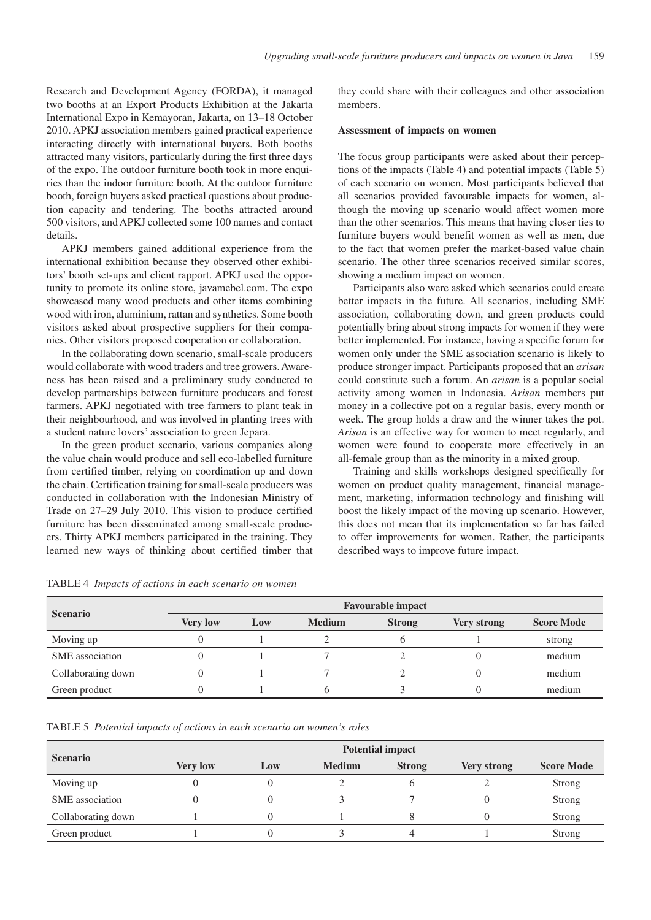Research and Development Agency (FORDA), it managed two booths at an Export Products Exhibition at the Jakarta International Expo in Kemayoran, Jakarta, on 13–18 October 2010. APKJ association members gained practical experience interacting directly with international buyers. Both booths attracted many visitors, particularly during the first three days of the expo. The outdoor furniture booth took in more enquiries than the indoor furniture booth. At the outdoor furniture booth, foreign buyers asked practical questions about production capacity and tendering. The booths attracted around 500 visitors, and APKJ collected some 100 names and contact details.

APKJ members gained additional experience from the international exhibition because they observed other exhibitors' booth set-ups and client rapport. APKJ used the opportunity to promote its online store, javamebel.com. The expo showcased many wood products and other items combining wood with iron, aluminium, rattan and synthetics. Some booth visitors asked about prospective suppliers for their companies. Other visitors proposed cooperation or collaboration.

In the collaborating down scenario, small-scale producers would collaborate with wood traders and tree growers. Awareness has been raised and a preliminary study conducted to develop partnerships between furniture producers and forest farmers. APKJ negotiated with tree farmers to plant teak in their neighbourhood, and was involved in planting trees with a student nature lovers' association to green Jepara.

In the green product scenario, various companies along the value chain would produce and sell eco-labelled furniture from certified timber, relying on coordination up and down the chain. Certification training for small-scale producers was conducted in collaboration with the Indonesian Ministry of Trade on 27–29 July 2010. This vision to produce certified furniture has been disseminated among small-scale producers. Thirty APKJ members participated in the training. They learned new ways of thinking about certified timber that

| TABLE 4 Impacts of actions in each scenario on women |  |  |  |
|------------------------------------------------------|--|--|--|
|                                                      |  |  |  |

they could share with their colleagues and other association members.

#### **Assessment of impacts on women**

The focus group participants were asked about their perceptions of the impacts (Table 4) and potential impacts (Table 5) of each scenario on women. Most participants believed that all scenarios provided favourable impacts for women, although the moving up scenario would affect women more than the other scenarios. This means that having closer ties to furniture buyers would benefit women as well as men, due to the fact that women prefer the market-based value chain scenario. The other three scenarios received similar scores, showing a medium impact on women.

Participants also were asked which scenarios could create better impacts in the future. All scenarios, including SME association, collaborating down, and green products could potentially bring about strong impacts for women if they were better implemented. For instance, having a specific forum for women only under the SME association scenario is likely to produce stronger impact. Participants proposed that an *arisan* could constitute such a forum. An *arisan* is a popular social activity among women in Indonesia. *Arisan* members put money in a collective pot on a regular basis, every month or week. The group holds a draw and the winner takes the pot. *Arisan* is an effective way for women to meet regularly, and women were found to cooperate more effectively in an all-female group than as the minority in a mixed group.

Training and skills workshops designed specifically for women on product quality management, financial management, marketing, information technology and finishing will boost the likely impact of the moving up scenario. However, this does not mean that its implementation so far has failed to offer improvements for women. Rather, the participants described ways to improve future impact.

| <b>Favourable impact</b> |     |               |               |                    |                   |  |
|--------------------------|-----|---------------|---------------|--------------------|-------------------|--|
| <b>Very low</b>          | Low | <b>Medium</b> | <b>Strong</b> | <b>Very strong</b> | <b>Score Mode</b> |  |
| $\theta$                 |     |               |               |                    | strong            |  |
| $\theta$                 |     |               |               |                    | medium            |  |
| $\Omega$                 |     |               |               |                    | medium            |  |
|                          |     |               |               |                    | medium            |  |
|                          |     |               |               |                    |                   |  |

TABLE 5 *Potential impacts of actions in each scenario on women's roles*

|                        | <b>Potential impact</b> |     |               |               |                    |                   |  |  |
|------------------------|-------------------------|-----|---------------|---------------|--------------------|-------------------|--|--|
| <b>Scenario</b>        | <b>Very low</b>         | Low | <b>Medium</b> | <b>Strong</b> | <b>Very strong</b> | <b>Score Mode</b> |  |  |
| Moving up              |                         |     |               |               |                    | Strong            |  |  |
| <b>SME</b> association |                         |     |               |               |                    | Strong            |  |  |
| Collaborating down     |                         |     |               |               |                    | Strong            |  |  |
| Green product          |                         |     |               |               |                    | Strong            |  |  |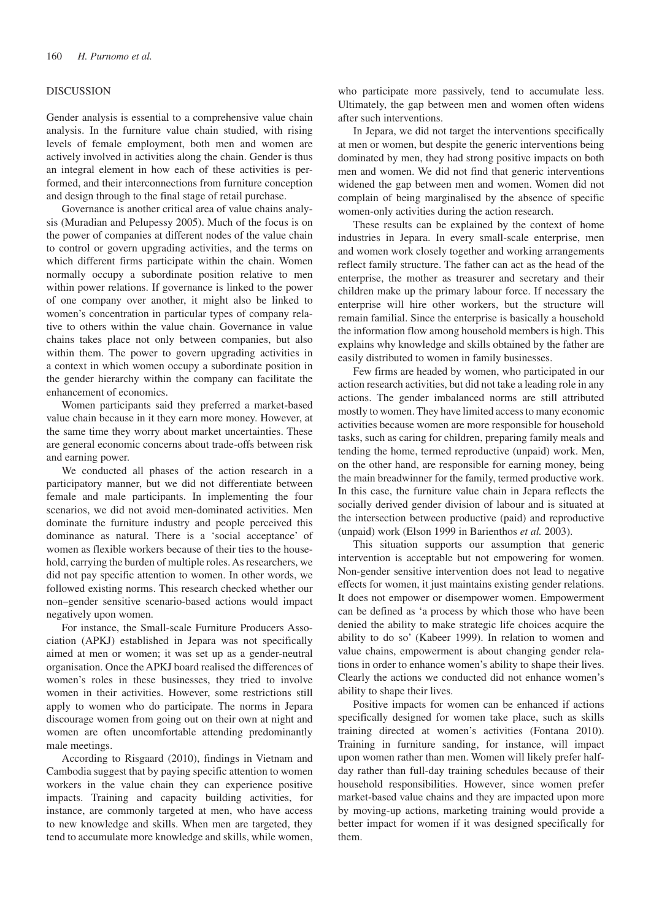#### DISCUSSION

Gender analysis is essential to a comprehensive value chain analysis. In the furniture value chain studied, with rising levels of female employment, both men and women are actively involved in activities along the chain. Gender is thus an integral element in how each of these activities is performed, and their interconnections from furniture conception and design through to the final stage of retail purchase.

Governance is another critical area of value chains analysis (Muradian and Pelupessy 2005). Much of the focus is on the power of companies at different nodes of the value chain to control or govern upgrading activities, and the terms on which different firms participate within the chain. Women normally occupy a subordinate position relative to men within power relations. If governance is linked to the power of one company over another, it might also be linked to women's concentration in particular types of company relative to others within the value chain. Governance in value chains takes place not only between companies, but also within them. The power to govern upgrading activities in a context in which women occupy a subordinate position in the gender hierarchy within the company can facilitate the enhancement of economics.

Women participants said they preferred a market-based value chain because in it they earn more money. However, at the same time they worry about market uncertainties. These are general economic concerns about trade-offs between risk and earning power.

We conducted all phases of the action research in a participatory manner, but we did not differentiate between female and male participants. In implementing the four scenarios, we did not avoid men-dominated activities. Men dominate the furniture industry and people perceived this dominance as natural. There is a 'social acceptance' of women as flexible workers because of their ties to the household, carrying the burden of multiple roles. As researchers, we did not pay specific attention to women. In other words, we followed existing norms. This research checked whether our non–gender sensitive scenario-based actions would impact negatively upon women.

For instance, the Small-scale Furniture Producers Association (APKJ) established in Jepara was not specifically aimed at men or women; it was set up as a gender-neutral organisation. Once the APKJ board realised the differences of women's roles in these businesses, they tried to involve women in their activities. However, some restrictions still apply to women who do participate. The norms in Jepara discourage women from going out on their own at night and women are often uncomfortable attending predominantly male meetings.

According to Risgaard (2010), findings in Vietnam and Cambodia suggest that by paying specific attention to women workers in the value chain they can experience positive impacts. Training and capacity building activities, for instance, are commonly targeted at men, who have access to new knowledge and skills. When men are targeted, they tend to accumulate more knowledge and skills, while women, who participate more passively, tend to accumulate less. Ultimately, the gap between men and women often widens after such interventions.

In Jepara, we did not target the interventions specifically at men or women, but despite the generic interventions being dominated by men, they had strong positive impacts on both men and women. We did not find that generic interventions widened the gap between men and women. Women did not complain of being marginalised by the absence of specific women-only activities during the action research.

These results can be explained by the context of home industries in Jepara. In every small-scale enterprise, men and women work closely together and working arrangements reflect family structure. The father can act as the head of the enterprise, the mother as treasurer and secretary and their children make up the primary labour force. If necessary the enterprise will hire other workers, but the structure will remain familial. Since the enterprise is basically a household the information flow among household members is high. This explains why knowledge and skills obtained by the father are easily distributed to women in family businesses.

Few firms are headed by women, who participated in our action research activities, but did not take a leading role in any actions. The gender imbalanced norms are still attributed mostly to women. They have limited access to many economic activities because women are more responsible for household tasks, such as caring for children, preparing family meals and tending the home, termed reproductive (unpaid) work. Men, on the other hand, are responsible for earning money, being the main breadwinner for the family, termed productive work. In this case, the furniture value chain in Jepara reflects the socially derived gender division of labour and is situated at the intersection between productive (paid) and reproductive (unpaid) work (Elson 1999 in Barienthos *et al.* 2003).

This situation supports our assumption that generic intervention is acceptable but not empowering for women. Non-gender sensitive intervention does not lead to negative effects for women, it just maintains existing gender relations. It does not empower or disempower women. Empowerment can be defined as 'a process by which those who have been denied the ability to make strategic life choices acquire the ability to do so' (Kabeer 1999). In relation to women and value chains, empowerment is about changing gender relations in order to enhance women's ability to shape their lives. Clearly the actions we conducted did not enhance women's ability to shape their lives.

Positive impacts for women can be enhanced if actions specifically designed for women take place, such as skills training directed at women's activities (Fontana 2010). Training in furniture sanding, for instance, will impact upon women rather than men. Women will likely prefer halfday rather than full-day training schedules because of their household responsibilities. However, since women prefer market-based value chains and they are impacted upon more by moving-up actions, marketing training would provide a better impact for women if it was designed specifically for them.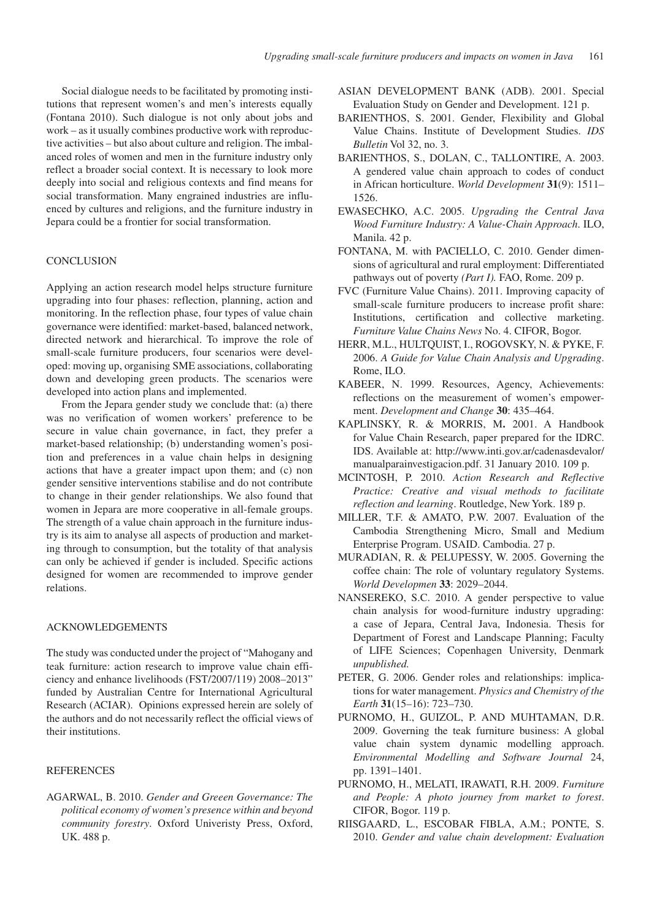Social dialogue needs to be facilitated by promoting institutions that represent women's and men's interests equally (Fontana 2010). Such dialogue is not only about jobs and work – as it usually combines productive work with reproductive activities – but also about culture and religion. The imbalanced roles of women and men in the furniture industry only reflect a broader social context. It is necessary to look more deeply into social and religious contexts and find means for social transformation. Many engrained industries are influenced by cultures and religions, and the furniture industry in Jepara could be a frontier for social transformation.

## **CONCLUSION**

Applying an action research model helps structure furniture upgrading into four phases: reflection, planning, action and monitoring. In the reflection phase, four types of value chain governance were identified: market-based, balanced network, directed network and hierarchical. To improve the role of small-scale furniture producers, four scenarios were developed: moving up, organising SME associations, collaborating down and developing green products. The scenarios were developed into action plans and implemented.

From the Jepara gender study we conclude that: (a) there was no verification of women workers' preference to be secure in value chain governance, in fact, they prefer a market-based relationship; (b) understanding women's position and preferences in a value chain helps in designing actions that have a greater impact upon them; and (c) non gender sensitive interventions stabilise and do not contribute to change in their gender relationships. We also found that women in Jepara are more cooperative in all-female groups. The strength of a value chain approach in the furniture industry is its aim to analyse all aspects of production and marketing through to consumption, but the totality of that analysis can only be achieved if gender is included. Specific actions designed for women are recommended to improve gender relations.

# ACKNOWLEDGEMENTS

The study was conducted under the project of "Mahogany and teak furniture: action research to improve value chain efficiency and enhance livelihoods (FST/2007/119) 2008–2013" funded by Australian Centre for International Agricultural Research (ACIAR). Opinions expressed herein are solely of the authors and do not necessarily reflect the official views of their institutions.

# **REFERENCES**

AGARWAL, B. 2010. *Gender and Greeen Governance: The political economy of women's presence within and beyond community forestry*. Oxford Univeristy Press, Oxford, UK. 488 p.

- ASIAN DEVELOPMENT BANK (ADB). 2001. Special Evaluation Study on Gender and Development. 121 p.
- BARIENTHOS, S. 2001. Gender, Flexibility and Global Value Chains. Institute of Development Studies. *IDS Bulletin* Vol 32, no. 3.
- BARIENTHOS, S., DOLAN, C., TALLONTIRE, A. 2003. A gendered value chain approach to codes of conduct in African horticulture. *World Development* **31**(9): 1511– 1526.
- EWASECHKO, A.C. 2005. *Upgrading the Central Java Wood Furniture Industry: A Value-Chain Approach*. ILO, Manila. 42 p.
- FONTANA, M. with PACIELLO, C. 2010. Gender dimensions of agricultural and rural employment: Differentiated pathways out of poverty *(Part I).* FAO, Rome. 209 p.
- FVC (Furniture Value Chains). 2011. Improving capacity of small-scale furniture producers to increase profit share: Institutions, certification and collective marketing. *Furniture Value Chains News* No. 4. CIFOR, Bogor.
- HERR, M.L., HULTQUIST, I., ROGOVSKY, N. & PYKE, F. 2006. *A Guide for Value Chain Analysis and Upgrading*. Rome, ILO.
- KABEER, N. 1999. Resources, Agency, Achievements: reflections on the measurement of women's empowerment. *Development and Change* **30**: 435–464.
- KAPLINSKY, R. & MORRIS, M**.** 2001. A Handbook for Value Chain Research, paper prepared for the IDRC. IDS. Available at: http://www.inti.gov.ar/cadenasdevalor/ manualparainvestigacion.pdf. 31 January 2010. 109 p.
- MCINTOSH, P. 2010. *Action Research and Reflective Practice: Creative and visual methods to facilitate reflection and learning*. Routledge, New York. 189 p.
- MILLER, T.F. & AMATO, P.W. 2007. Evaluation of the Cambodia Strengthening Micro, Small and Medium Enterprise Program. USAID. Cambodia. 27 p.
- MURADIAN, R. & PELUPESSY, W. 2005. Governing the coffee chain: The role of voluntary regulatory Systems. *World Developmen* **33**: 2029–2044.
- NANSEREKO, S.C. 2010. A gender perspective to value chain analysis for wood-furniture industry upgrading: a case of Jepara, Central Java, Indonesia. Thesis for Department of Forest and Landscape Planning; Faculty of LIFE Sciences; Copenhagen University, Denmark *unpublished.*
- PETER, G. 2006. Gender roles and relationships: implications for water management. *Physics and Chemistry of the Earth* **31**(15–16): 723–730.
- PURNOMO, H., GUIZOL, P. AND MUHTAMAN, D.R. 2009. Governing the teak furniture business: A global value chain system dynamic modelling approach. *Environmental Modelling and Software Journal* 24, pp. 1391–1401.
- PURNOMO, H., MELATI, IRAWATI, R.H. 2009. *Furniture and People: A photo journey from market to forest*. CIFOR, Bogor. 119 p.
- RIISGAARD, L., ESCOBAR FIBLA, A.M.; PONTE, S. 2010. *Gender and value chain development: Evaluation*